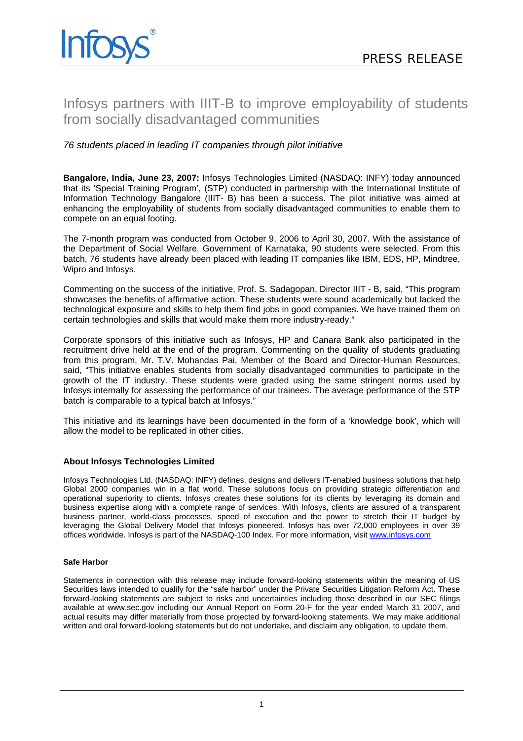# Infosys partners with IIIT-B to improve employability of students from socially disadvantaged communities

## *76 students placed in leading IT companies through pilot initiative*

**Bangalore, India, June 23, 2007:** Infosys Technologies Limited (NASDAQ: INFY) today announced that its 'Special Training Program', (STP) conducted in partnership with the International Institute of Information Technology Bangalore (IIIT- B) has been a success. The pilot initiative was aimed at enhancing the employability of students from socially disadvantaged communities to enable them to compete on an equal footing.

The 7-month program was conducted from October 9, 2006 to April 30, 2007. With the assistance of the Department of Social Welfare, Government of Karnataka, 90 students were selected. From this batch, 76 students have already been placed with leading IT companies like IBM, EDS, HP, Mindtree, Wipro and Infosys.

Commenting on the success of the initiative, Prof. S. Sadagopan, Director IIIT - B, said, "This program showcases the benefits of affirmative action. These students were sound academically but lacked the technological exposure and skills to help them find jobs in good companies. We have trained them on certain technologies and skills that would make them more industry-ready."

Corporate sponsors of this initiative such as Infosys, HP and Canara Bank also participated in the recruitment drive held at the end of the program. Commenting on the quality of students graduating from this program, Mr. T.V. Mohandas Pai, Member of the Board and Director-Human Resources, said, "This initiative enables students from socially disadvantaged communities to participate in the growth of the IT industry. These students were graded using the same stringent norms used by Infosys internally for assessing the performance of our trainees. The average performance of the STP batch is comparable to a typical batch at Infosys."

This initiative and its learnings have been documented in the form of a 'knowledge book', which will allow the model to be replicated in other cities.

## **About Infosys Technologies Limited**

Infosys Technologies Ltd. (NASDAQ: INFY) defines, designs and delivers IT-enabled business solutions that help Global 2000 companies win in a flat world. These solutions focus on providing strategic differentiation and operational superiority to clients. Infosys creates these solutions for its clients by leveraging its domain and business expertise along with a complete range of services. With Infosys, clients are assured of a transparent business partner, world-class processes, speed of execution and the power to stretch their IT budget by leveraging the Global Delivery Model that Infosys pioneered. Infosys has over 72,000 employees in over 39 offices worldwide. Infosys is part of the NASDAQ-100 Index. For more information, visit [www.infosys.com](http://www.infosys.com/)

## **Safe Harbor**

Statements in connection with this release may include forward-looking statements within the meaning of US Securities laws intended to qualify for the "safe harbor" under the Private Securities Litigation Reform Act. These forward-looking statements are subject to risks and uncertainties including those described in our SEC filings available at www.sec.gov including our Annual Report on Form 20-F for the year ended March 31 2007, and actual results may differ materially from those projected by forward-looking statements. We may make additional written and oral forward-looking statements but do not undertake, and disclaim any obligation, to update them.